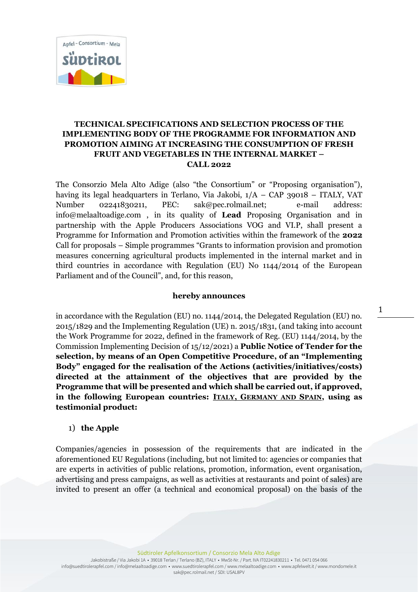

# **TECHNICAL SPECIFICATIONS AND SELECTION PROCESS OF THE IMPLEMENTING BODY OF THE PROGRAMME FOR INFORMATION AND PROMOTION AIMING AT INCREASING THE CONSUMPTION OF FRESH FRUIT AND VEGETABLES IN THE INTERNAL MARKET – CALL 2022**

The Consorzio Mela Alto Adige (also "the Consortium" or "Proposing organisation"), having its legal headquarters in Terlano, Via Jakobi, 1/A – CAP 39018 – ITALY, VAT Number 02241830211, PEC: sak@pec.rolmail.net; e-mail address: info@melaaltoadige.com , in its quality of **Lead** Proposing Organisation and in partnership with the Apple Producers Associations VOG and VI.P, shall present a Programme for Information and Promotion activities within the framework of the **2022** Call for proposals – Simple programmes "Grants to information provision and promotion measures concerning agricultural products implemented in the internal market and in third countries in accordance with Regulation (EU) No 1144/2014 of the European Parliament and of the Council", and, for this reason,

#### **hereby announces**

in accordance with the Regulation (EU) no. 1144/2014, the Delegated Regulation (EU) no. 2015/1829 and the Implementing Regulation (UE) n. 2015/1831, (and taking into account the Work Programme for 2022, defined in the framework of Reg. (EU) 1144/2014, by the Commission Implementing Decision of 15/12/2021) a **Public Notice of Tender for the selection, by means of an Open Competitive Procedure, of an "Implementing Body" engaged for the realisation of the Actions (activities/initiatives/costs) directed at the attainment of the objectives that are provided by the Programme that will be presented and which shall be carried out, if approved, in the following European countries: ITALY, GERMANY AND SPAIN, using as testimonial product:**

#### 1) **the Apple**

Companies/agencies in possession of the requirements that are indicated in the aforementioned EU Regulations (including, but not limited to: agencies or companies that are experts in activities of public relations, promotion, information, event organisation, advertising and press campaigns, as well as activities at restaurants and point of sales) are invited to present an offer (a technical and economical proposal) on the basis of the

Südtiroler Apfelkonsortium / Consorzio Mela Alto Adige

Jakobistraße / Via Jakobi 1A • 39018 Terlan / Terlano (BZ), ITALY • MwSt-Nr. / Part. IVA IT02241830211 • Tel. 0471 054 066 info@suedtirolerapfel.com / info@melaaltoadige.com • www.suedtirolerapfel.com / www.melaaltoadige.com • www.apfelwelt.it / www.mondomele.it sak@pec.rolmail.net / SDI: USAL8PV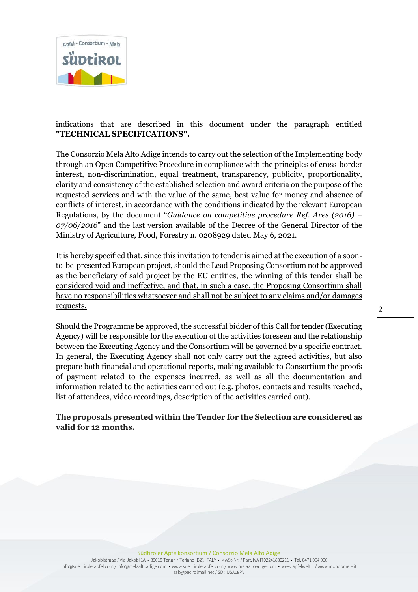

# indications that are described in this document under the paragraph entitled **"TECHNICAL SPECIFICATIONS".**

The Consorzio Mela Alto Adige intends to carry out the selection of the Implementing body through an Open Competitive Procedure in compliance with the principles of cross-border interest, non-discrimination, equal treatment, transparency, publicity, proportionality, clarity and consistency of the established selection and award criteria on the purpose of the requested services and with the value of the same, best value for money and absence of conflicts of interest, in accordance with the conditions indicated by the relevant European Regulations, by the document "*Guidance on competitive procedure Ref. Ares (2016) – 07/06/2016*" and the last version available of the Decree of the General Director of the Ministry of Agriculture, Food, Forestry n. 0208929 dated May 6, 2021.

It is hereby specified that, since this invitation to tender is aimed at the execution of a soonto-be-presented European project, should the Lead Proposing Consortium not be approved as the beneficiary of said project by the EU entities, the winning of this tender shall be considered void and ineffective, and that, in such a case, the Proposing Consortium shall have no responsibilities whatsoever and shall not be subject to any claims and/or damages requests.

Should the Programme be approved, the successful bidder of this Call for tender (Executing Agency) will be responsible for the execution of the activities foreseen and the relationship between the Executing Agency and the Consortium will be governed by a specific contract. In general, the Executing Agency shall not only carry out the agreed activities, but also prepare both financial and operational reports, making available to Consortium the proofs of payment related to the expenses incurred, as well as all the documentation and information related to the activities carried out (e.g. photos, contacts and results reached, list of attendees, video recordings, description of the activities carried out).

# **The proposals presented within the Tender for the Selection are considered as valid for 12 months.**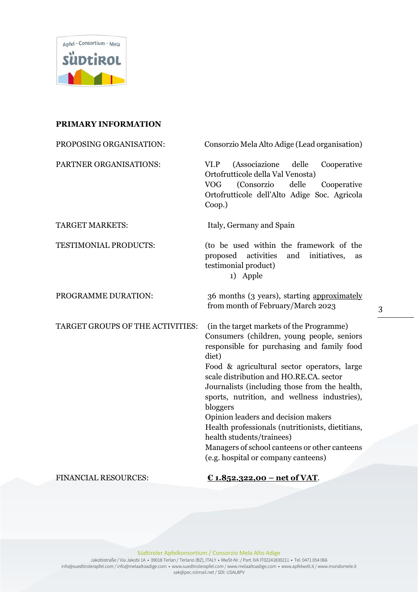

### **PRIMARY INFORMATION**

| PROPOSING ORGANISATION:          | Consorzio Mela Alto Adige (Lead organisation)                                                                                                                                                                                                                                                                                                                                                                                                                                                                                                                        |
|----------------------------------|----------------------------------------------------------------------------------------------------------------------------------------------------------------------------------------------------------------------------------------------------------------------------------------------------------------------------------------------------------------------------------------------------------------------------------------------------------------------------------------------------------------------------------------------------------------------|
| PARTNER ORGANISATIONS:           | VI.P<br>(Associazione delle<br>Cooperative<br>Ortofrutticole della Val Venosta)<br>(Consorzio<br>delle<br><b>VOG</b><br>Cooperative<br>Ortofrutticole dell'Alto Adige Soc. Agricola<br>$Coop.$ )                                                                                                                                                                                                                                                                                                                                                                     |
| <b>TARGET MARKETS:</b>           | Italy, Germany and Spain                                                                                                                                                                                                                                                                                                                                                                                                                                                                                                                                             |
| TESTIMONIAL PRODUCTS:            | (to be used within the framework of the<br>activities<br>initiatives,<br>proposed<br>and<br>as<br>testimonial product)<br>1) Apple                                                                                                                                                                                                                                                                                                                                                                                                                                   |
| PROGRAMME DURATION:              | 36 months (3 years), starting approximately<br>from month of February/March 2023                                                                                                                                                                                                                                                                                                                                                                                                                                                                                     |
| TARGET GROUPS OF THE ACTIVITIES: | (in the target markets of the Programme)<br>Consumers (children, young people, seniors<br>responsible for purchasing and family food<br>diet)<br>Food & agricultural sector operators, large<br>scale distribution and HO.RE.CA. sector<br>Journalists (including those from the health,<br>sports, nutrition, and wellness industries),<br>bloggers<br>Opinion leaders and decision makers<br>Health professionals (nutritionists, dietitians,<br>health students/trainees)<br>Managers of school canteens or other canteens<br>(e.g. hospital or company canteens) |

FINANCIAL RESOURCES: **€ 1.852.322,00 – net of VAT**.

Südtiroler Apfelkonsortium / Consorzio Mela Alto Adige

Jakobistraße / Via Jakobi 1A • 39018 Terlan / Terlano (BZ), ITALY • MwSt-Nr. / Part. IVA IT02241830211 • Tel. 0471 054 066 info@suedtirolerapfel.com / info@melaaltoadige.com • www.suedtirolerapfel.com / www.melaaltoadige.com • www.apfelwelt.it / www.mondomele.it sak@pec.rolmail.net / SDI: USAL8PV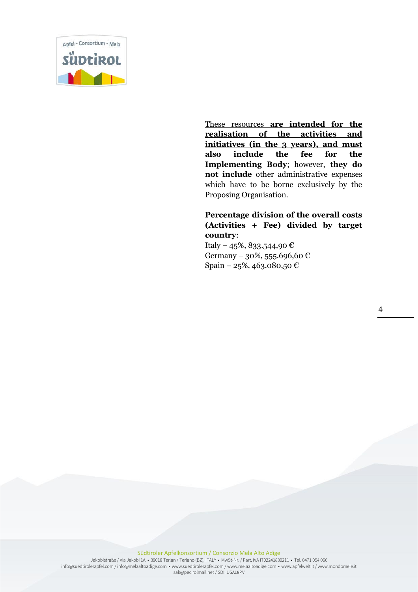

These resources **are intended for the realisation of the activities and initiatives (in the 3 years), and must also include the fee for the Implementing Body**; however, **they do not include** other administrative expenses which have to be borne exclusively by the Proposing Organisation.

## **Percentage division of the overall costs (Activities + Fee) divided by target country**:

Italy – 45%, 833.544,90 € Germany – 30%, 555.696,60 € Spain – 25%, 463.080,50 €

4

#### Südtiroler Apfelkonsortium / Consorzio Mela Alto Adige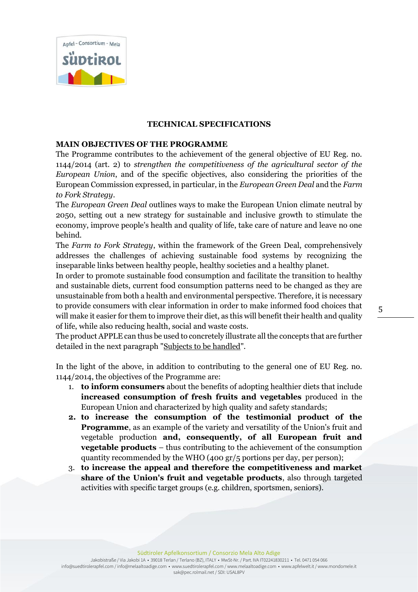

#### **TECHNICAL SPECIFICATIONS**

### **MAIN OBJECTIVES OF THE PROGRAMME**

The Programme contributes to the achievement of the general objective of EU Reg. no. 1144/2014 (art. 2) to *strengthen the competitiveness of the agricultural sector of the European Union*, and of the specific objectives, also considering the priorities of the European Commission expressed, in particular, in the *European Green Deal* and the *Farm to Fork Strategy*.

The *European Green Deal* outlines ways to make the European Union climate neutral by 2050, setting out a new strategy for sustainable and inclusive growth to stimulate the economy, improve people's health and quality of life, take care of nature and leave no one behind.

The *Farm to Fork Strategy*, within the framework of the Green Deal, comprehensively addresses the challenges of achieving sustainable food systems by recognizing the inseparable links between healthy people, healthy societies and a healthy planet.

In order to promote sustainable food consumption and facilitate the transition to healthy and sustainable diets, current food consumption patterns need to be changed as they are unsustainable from both a health and environmental perspective. Therefore, it is necessary to provide consumers with clear information in order to make informed food choices that will make it easier for them to improve their diet, as this will benefit their health and quality of life, while also reducing health, social and waste costs.

The product APPLE can thus be used to concretely illustrate all the concepts that are further detailed in the next paragraph "Subjects to be handled".

In the light of the above, in addition to contributing to the general one of EU Reg. no. 1144/2014, the objectives of the Programme are:

- 1. **to inform consumers** about the benefits of adopting healthier diets that include **increased consumption of fresh fruits and vegetables** produced in the European Union and characterized by high quality and safety standards;
- **2. to increase the consumption of the testimonial product of the Programme**, as an example of the variety and versatility of the Union's fruit and vegetable production **and, consequently, of all European fruit and vegetable products** – thus contributing to the achievement of the consumption quantity recommended by the WHO (400 gr/5 portions per day, per person);
- 3. **to increase the appeal and therefore the competitiveness and market share of the Union's fruit and vegetable products**, also through targeted activities with specific target groups (e.g. children, sportsmen, seniors).

Südtiroler Apfelkonsortium / Consorzio Mela Alto Adige

Jakobistraße / Via Jakobi 1A • 39018 Terlan / Terlano (BZ), ITALY • MwSt-Nr. / Part. IVA IT02241830211 • Tel. 0471 054 066 info@suedtirolerapfel.com / info@melaaltoadige.com • www.suedtirolerapfel.com / www.melaaltoadige.com • www.apfelwelt.it / www.mondomele.it sak@pec.rolmail.net / SDI: USAL8PV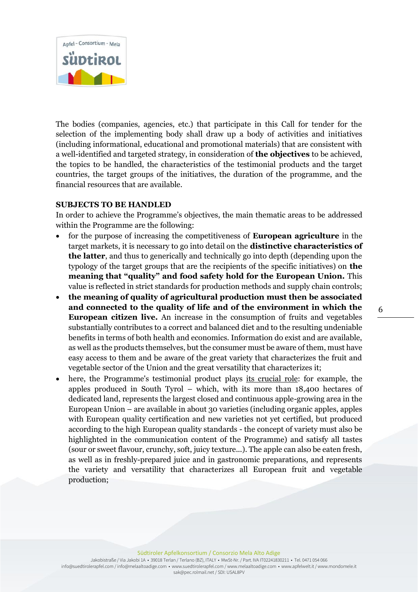

The bodies (companies, agencies, etc.) that participate in this Call for tender for the selection of the implementing body shall draw up a body of activities and initiatives (including informational, educational and promotional materials) that are consistent with a well-identified and targeted strategy, in consideration of **the objectives** to be achieved, the topics to be handled, the characteristics of the testimonial products and the target countries, the target groups of the initiatives, the duration of the programme, and the financial resources that are available.

### **SUBJECTS TO BE HANDLED**

In order to achieve the Programme's objectives, the main thematic areas to be addressed within the Programme are the following:

- for the purpose of increasing the competitiveness of **European agriculture** in the target markets, it is necessary to go into detail on the **distinctive characteristics of the latter**, and thus to generically and technically go into depth (depending upon the typology of the target groups that are the recipients of the specific initiatives) on **the meaning that "quality" and food safety hold for the European Union.** This value is reflected in strict standards for production methods and supply chain controls;
- **the meaning of quality of agricultural production must then be associated and connected to the quality of life and of the environment in which the European citizen live.** An increase in the consumption of fruits and vegetables substantially contributes to a correct and balanced diet and to the resulting undeniable benefits in terms of both health and economics. Information do exist and are available, as well as the products themselves, but the consumer must be aware of them, must have easy access to them and be aware of the great variety that characterizes the fruit and vegetable sector of the Union and the great versatility that characterizes it;
- here, the Programme's testimonial product plays its crucial role: for example, the apples produced in South Tyrol – which, with its more than 18,400 hectares of dedicated land, represents the largest closed and continuous apple-growing area in the European Union – are available in about 30 varieties (including organic apples, apples with European quality certification and new varieties not yet certified, but produced according to the high European quality standards - the concept of variety must also be highlighted in the communication content of the Programme) and satisfy all tastes (sour or sweet flavour, crunchy, soft, juicy texture...). The apple can also be eaten fresh, as well as in freshly-prepared juice and in gastronomic preparations, and represents the variety and versatility that characterizes all European fruit and vegetable production;

6

Südtiroler Apfelkonsortium / Consorzio Mela Alto Adige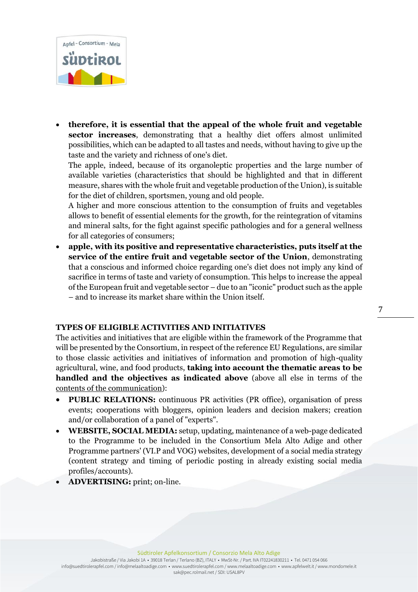

• **therefore, it is essential that the appeal of the whole fruit and vegetable sector increases**, demonstrating that a healthy diet offers almost unlimited possibilities, which can be adapted to all tastes and needs, without having to give up the taste and the variety and richness of one's diet.

The apple, indeed, because of its organoleptic properties and the large number of available varieties (characteristics that should be highlighted and that in different measure, shares with the whole fruit and vegetable production of the Union), is suitable for the diet of children, sportsmen, young and old people.

A higher and more conscious attention to the consumption of fruits and vegetables allows to benefit of essential elements for the growth, for the reintegration of vitamins and mineral salts, for the fight against specific pathologies and for a general wellness for all categories of consumers;

• **apple, with its positive and representative characteristics, puts itself at the service of the entire fruit and vegetable sector of the Union**, demonstrating that a conscious and informed choice regarding one's diet does not imply any kind of sacrifice in terms of taste and variety of consumption. This helps to increase the appeal of the European fruit and vegetable sector – due to an "iconic" product such as the apple – and to increase its market share within the Union itself.

#### **TYPES OF ELIGIBLE ACTIVITIES AND INITIATIVES**

The activities and initiatives that are eligible within the framework of the Programme that will be presented by the Consortium, in respect of the reference EU Regulations, are similar to those classic activities and initiatives of information and promotion of high-quality agricultural, wine, and food products, **taking into account the thematic areas to be handled and the objectives as indicated above** (above all else in terms of the contents of the communication):

- **PUBLIC RELATIONS:** continuous PR activities (PR office), organisation of press events; cooperations with bloggers, opinion leaders and decision makers; creation and/or collaboration of a panel of "experts".
- **WEBSITE, SOCIAL MEDIA:** setup, updating, maintenance of a web-page dedicated to the Programme to be included in the Consortium Mela Alto Adige and other Programme partners' (VI.P and VOG) websites, development of a social media strategy (content strategy and timing of periodic posting in already existing social media profiles/accounts).
- **ADVERTISING:** print; on-line.

#### Südtiroler Apfelkonsortium / Consorzio Mela Alto Adige

Jakobistraße / Via Jakobi 1A • 39018 Terlan / Terlano (BZ), ITALY • MwSt-Nr. / Part. IVA IT02241830211 • Tel. 0471 054 066 info@suedtirolerapfel.com / info@melaaltoadige.com • www.suedtirolerapfel.com / www.melaaltoadige.com • www.apfelwelt.it / www.mondomele.it sak@pec.rolmail.net / SDI: USAL8PV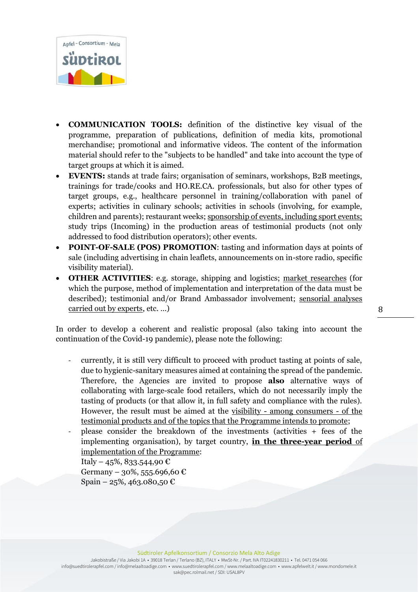

- **COMMUNICATION TOOLS:** definition of the distinctive key visual of the programme, preparation of publications, definition of media kits, promotional merchandise; promotional and informative videos. The content of the information material should refer to the "subjects to be handled" and take into account the type of target groups at which it is aimed.
- **EVENTS:** stands at trade fairs; organisation of seminars, workshops, B2B meetings, trainings for trade/cooks and HO.RE.CA. professionals, but also for other types of target groups, e.g., healthcare personnel in training/collaboration with panel of experts; activities in culinary schools; activities in schools (involving, for example, children and parents); restaurant weeks; sponsorship of events, including sport events; study trips (Incoming) in the production areas of testimonial products (not only addressed to food distribution operators); other events.
- **POINT-OF-SALE (POS) PROMOTION**: tasting and information days at points of sale (including advertising in chain leaflets, announcements on in-store radio, specific visibility material).
- **OTHER ACTIVITIES**: e.g. storage, shipping and logistics; market researches (for which the purpose, method of implementation and interpretation of the data must be described); testimonial and/or Brand Ambassador involvement; sensorial analyses carried out by experts, etc. …)

In order to develop a coherent and realistic proposal (also taking into account the continuation of the Covid-19 pandemic), please note the following:

- currently, it is still very difficult to proceed with product tasting at points of sale, due to hygienic-sanitary measures aimed at containing the spread of the pandemic. Therefore, the Agencies are invited to propose **also** alternative ways of collaborating with large-scale food retailers, which do not necessarily imply the tasting of products (or that allow it, in full safety and compliance with the rules). However, the result must be aimed at the visibility - among consumers - of the testimonial products and of the topics that the Programme intends to promote;
- please consider the breakdown of the investments (activities + fees of the implementing organisation), by target country, **in the three-year period** of implementation of the Programme:

Italy – 45%, 833.544,90 € Germany – 30%, 555.696,60 € Spain – 25%, 463.080,50  $\text{\textsterling}$ 

Jakobistraße / Via Jakobi 1A • 39018 Terlan / Terlano (BZ), ITALY • MwSt-Nr. / Part. IVA IT02241830211 • Tel. 0471 054 066 info@suedtirolerapfel.com / info@melaaltoadige.com • www.suedtirolerapfel.com / www.melaaltoadige.com • www.apfelwelt.it / www.mondomele.it sak@pec.rolmail.net / SDI: USAL8PV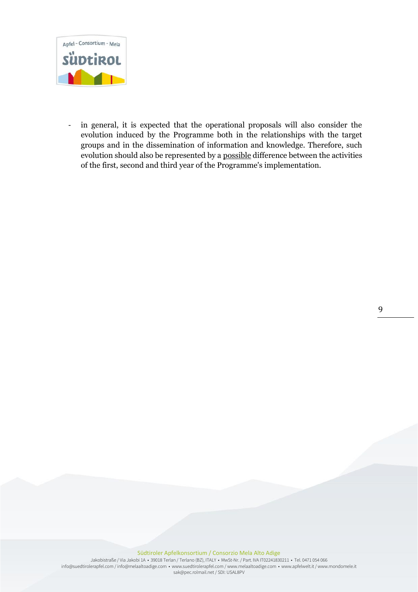

- in general, it is expected that the operational proposals will also consider the evolution induced by the Programme both in the relationships with the target groups and in the dissemination of information and knowledge. Therefore, such evolution should also be represented by a possible difference between the activities of the first, second and third year of the Programme's implementation.

Südtiroler Apfelkonsortium / Consorzio Mela Alto Adige

Jakobistraße / Via Jakobi 1A • 39018 Terlan / Terlano (BZ), ITALY • MwSt-Nr. / Part. IVA IT02241830211 • Tel. 0471 054 066 info@suedtirolerapfel.com / info@melaaltoadige.com • www.suedtirolerapfel.com / www.melaaltoadige.com • www.apfelwelt.it / www.mondomele.it sak@pec.rolmail.net / SDI: USAL8PV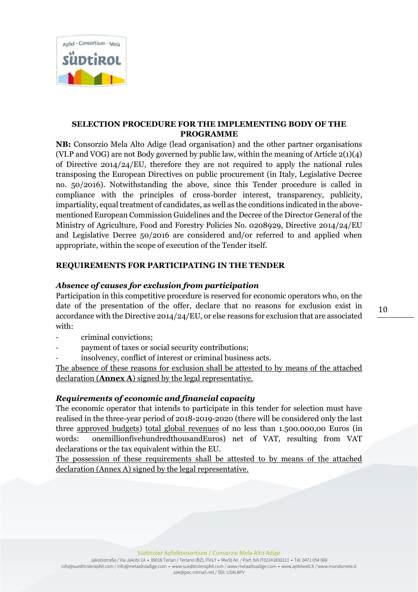

### **SELECTION PROCEDURE FOR THE IMPLEMENTING BODY OF THE PROGRAMME**

**NB:** Consorzio Mela Alto Adige (lead organisation) and the other partner organisations (VI.P and VOG) are not Body governed by public law, within the meaning of Article 2(1)(4) of Directive 2014/24/EU, therefore they are not required to apply the national rules transposing the European Directives on public procurement (in Italy, Legislative Decree no. 50/2016). Notwithstanding the above, since this Tender procedure is called in compliance with the principles of cross-border interest, transparency, publicity, impartiality, equal treatment of candidates, as well as the conditions indicated in the abovementioned European Commission Guidelines and the Decree of the Director General of the Ministry of Agriculture, Food and Forestry Policies No. 0208929, Directive 2014/24/EU and Legislative Decree 50/2016 are considered and/or referred to and applied when appropriate, within the scope of execution of the Tender itself.

# **REQUIREMENTS FOR PARTICIPATING IN THE TENDER**

## *Absence of causes for exclusion from participation*

Participation in this competitive procedure is reserved for economic operators who, on the date of the presentation of the offer, declare that no reasons for exclusion exist in accordance with the Directive 2014/24/EU, or else reasons for exclusion that are associated with:

- criminal convictions;
- payment of taxes or social security contributions;
- insolvency, conflict of interest or criminal business acts.

The absence of these reasons for exclusion shall be attested to by means of the attached declaration (**Annex A**) signed by the legal representative.

# *Requirements of economic and financial capacity*

The economic operator that intends to participate in this tender for selection must have realised in the three-year period of 2018-2019-2020 (there will be considered only the last three approved budgets) total global revenues of no less than 1.500.000,00 Euros (in words: onemillionfivehundredthousandEuros) net of VAT, resulting from VAT declarations or the tax equivalent within the EU.

The possession of these requirements shall be attested to by means of the attached declaration (Annex A) signed by the legal representative.

Jakobistraße / Via Jakobi 1A • 39018 Terlan / Terlano (BZ), ITALY • MwSt-Nr. / Part. IVA IT02241830211 • Tel. 0471 054 066 info@suedtirolerapfel.com / info@melaaltoadige.com • www.suedtirolerapfel.com / www.melaaltoadige.com • www.apfelwelt.it / www.mondomele.it sak@pec.rolmail.net / SDI: USAL8PV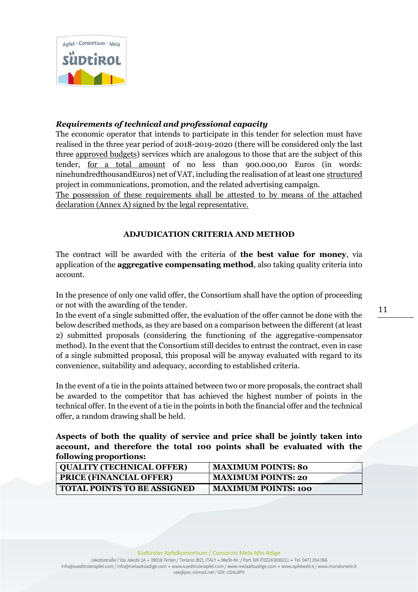

## *Requirements of technical and professional capacity*

The economic operator that intends to participate in this tender for selection must have realised in the three year period of 2018-2019-2020 (there will be considered only the last three approved budgets) services which are analogous to those that are the subject of this tender, for a total amount of no less than 900.000,00 Euros (in words: ninehundredthousandEuros) net of VAT, including the realisation of at least one structured project in communications, promotion, and the related advertising campaign.

The possession of these requirements shall be attested to by means of the attached declaration (Annex A) signed by the legal representative.

## **ADJUDICATION CRITERIA AND METHOD**

The contract will be awarded with the criteria of **the best value for money**, via application of the **aggregative compensating method**, also taking quality criteria into account.

In the presence of only one valid offer, the Consortium shall have the option of proceeding or not with the awarding of the tender.

In the event of a single submitted offer, the evaluation of the offer cannot be done with the below described methods, as they are based on a comparison between the different (at least 2) submitted proposals (considering the functioning of the aggregative-compensator method). In the event that the Consortium still decides to entrust the contract, even in case of a single submitted proposal, this proposal will be anyway evaluated with regard to its convenience, suitability and adequacy, according to established criteria.

In the event of a tie in the points attained between two or more proposals, the contract shall be awarded to the competitor that has achieved the highest number of points in the technical offer. In the event of a tie in the points in both the financial offer and the technical offer, a random drawing shall be held.

**Aspects of both the quality of service and price shall be jointly taken into account, and therefore the total 100 points shall be evaluated with the following proportions:**

| <b>QUALITY (TECHNICAL OFFER)</b>   | <b>MAXIMUM POINTS: 80</b>  |
|------------------------------------|----------------------------|
| <b>PRICE (FINANCIAL OFFER)</b>     | <b>MAXIMUM POINTS: 20</b>  |
| <b>TOTAL POINTS TO BE ASSIGNED</b> | <b>MAXIMUM POINTS: 100</b> |

Jakobistraße / Via Jakobi 1A • 39018 Terlan / Terlano (BZ), ITALY • MwSt-Nr. / Part. IVA IT02241830211 • Tel. 0471 054 066 info@suedtirolerapfel.com / info@melaaltoadige.com • www.suedtirolerapfel.com / www.melaaltoadige.com • www.apfelwelt.it / www.mondomele.it sak@pec.rolmail.net / SDI: USAL8PV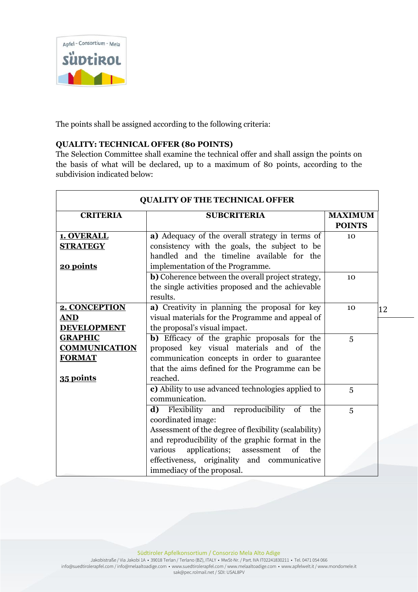

The points shall be assigned according to the following criteria:

## **QUALITY: TECHNICAL OFFER (80 POINTS)**

The Selection Committee shall examine the technical offer and shall assign the points on the basis of what will be declared, up to a maximum of 80 points, according to the subdivision indicated below:

| <b>QUALITY OF THE TECHNICAL OFFER</b> |                                                       |                                 |    |
|---------------------------------------|-------------------------------------------------------|---------------------------------|----|
| <b>CRITERIA</b>                       | <b>SUBCRITERIA</b>                                    | <b>MAXIMUM</b><br><b>POINTS</b> |    |
| 1. OVERALL                            | a) Adequacy of the overall strategy in terms of       | 10                              |    |
| <b>STRATEGY</b>                       | consistency with the goals, the subject to be         |                                 |    |
|                                       | handled and the timeline available for the            |                                 |    |
| 20 points                             | implementation of the Programme.                      |                                 |    |
|                                       | b) Coherence between the overall project strategy,    | 10                              |    |
|                                       | the single activities proposed and the achievable     |                                 |    |
|                                       | results.                                              |                                 |    |
| 2. CONCEPTION                         | a) Creativity in planning the proposal for key        | 10                              | 12 |
| <b>AND</b>                            | visual materials for the Programme and appeal of      |                                 |    |
| <b>DEVELOPMENT</b>                    | the proposal's visual impact.                         |                                 |    |
| <b>GRAPHIC</b>                        | b) Efficacy of the graphic proposals for the          | 5                               |    |
| <b>COMMUNICATION</b>                  | proposed key visual materials and of the              |                                 |    |
| <b>FORMAT</b>                         | communication concepts in order to guarantee          |                                 |    |
|                                       | that the aims defined for the Programme can be        |                                 |    |
| 35 points                             | reached.                                              |                                 |    |
|                                       | c) Ability to use advanced technologies applied to    | 5                               |    |
|                                       | communication.                                        |                                 |    |
|                                       | Flexibility and reproducibility of<br>d)<br>the       | 5                               |    |
|                                       | coordinated image:                                    |                                 |    |
|                                       | Assessment of the degree of flexibility (scalability) |                                 |    |
|                                       | and reproducibility of the graphic format in the      |                                 |    |
|                                       | applications;<br>various<br>of<br>assessment<br>the   |                                 |    |
|                                       | effectiveness, originality and communicative          |                                 |    |
|                                       | immediacy of the proposal.                            |                                 |    |

Südtiroler Apfelkonsortium / Consorzio Mela Alto Adige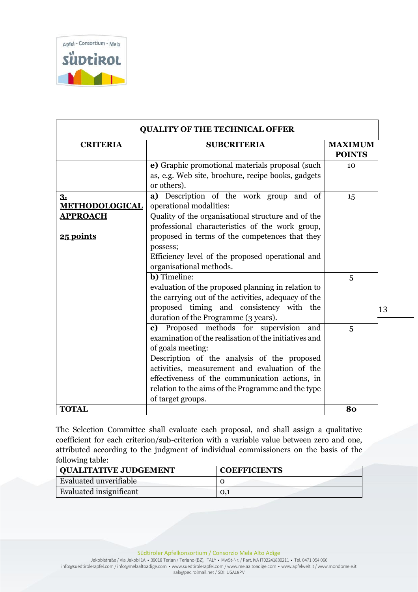

| <b>CRITERIA</b>                                             | <b>SUBCRITERIA</b>                                                                                                                                                                                                                                                                                                                                    | <b>MAXIMUM</b><br><b>POINTS</b> |
|-------------------------------------------------------------|-------------------------------------------------------------------------------------------------------------------------------------------------------------------------------------------------------------------------------------------------------------------------------------------------------------------------------------------------------|---------------------------------|
|                                                             | e) Graphic promotional materials proposal (such<br>as, e.g. Web site, brochure, recipe books, gadgets<br>or others).                                                                                                                                                                                                                                  | 10                              |
| 3.<br><b>METHODOLOGICAL</b><br><b>APPROACH</b><br>25 points | a) Description of the work group and of<br>operational modalities:<br>Quality of the organisational structure and of the<br>professional characteristics of the work group,<br>proposed in terms of the competences that they<br>possess;<br>Efficiency level of the proposed operational and<br>organisational methods.                              | 15                              |
|                                                             | <b>b</b> ) Timeline:<br>evaluation of the proposed planning in relation to<br>the carrying out of the activities, adequacy of the<br>proposed timing and consistency with the<br>duration of the Programme (3 years).                                                                                                                                 | 5                               |
|                                                             | c) Proposed methods for supervision<br>and<br>examination of the realisation of the initiatives and<br>of goals meeting:<br>Description of the analysis of the proposed<br>activities, measurement and evaluation of the<br>effectiveness of the communication actions, in<br>relation to the aims of the Programme and the type<br>of target groups. | 5                               |
| <b>TOTAL</b>                                                |                                                                                                                                                                                                                                                                                                                                                       | 80                              |

The Selection Committee shall evaluate each proposal, and shall assign a qualitative coefficient for each criterion/sub-criterion with a variable value between zero and one, attributed according to the judgment of individual commissioners on the basis of the following table:

| <b>QUALITATIVE JUDGEMENT</b> | <b>COEFFICIENTS</b> |
|------------------------------|---------------------|
| Evaluated unverifiable       |                     |
| Evaluated insignificant      | 0.1                 |

Südtiroler Apfelkonsortium / Consorzio Mela Alto Adige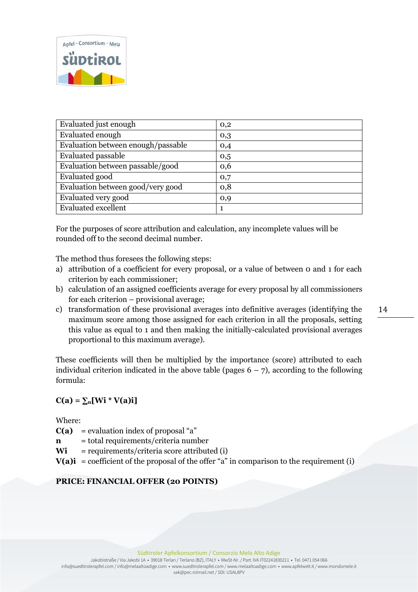

| Evaluated just enough                                                                                                                                                     | 0,2                             |
|---------------------------------------------------------------------------------------------------------------------------------------------------------------------------|---------------------------------|
| Evaluated enough                                                                                                                                                          | 0,3                             |
|                                                                                                                                                                           |                                 |
| Evaluation between enough/passable                                                                                                                                        | 0,4                             |
|                                                                                                                                                                           |                                 |
|                                                                                                                                                                           |                                 |
|                                                                                                                                                                           |                                 |
|                                                                                                                                                                           |                                 |
|                                                                                                                                                                           |                                 |
|                                                                                                                                                                           |                                 |
|                                                                                                                                                                           |                                 |
|                                                                                                                                                                           |                                 |
|                                                                                                                                                                           |                                 |
|                                                                                                                                                                           |                                 |
| <b>Evaluated passable</b><br>Evaluation between passable/good<br>Evaluated good<br>Evaluation between good/very good<br>Evaluated very good<br><b>Evaluated excellent</b> | 0,5<br>0,6<br>0,7<br>0,8<br>0,9 |

For the purposes of score attribution and calculation, any incomplete values will be rounded off to the second decimal number.

The method thus foresees the following steps:

- a) attribution of a coefficient for every proposal, or a value of between 0 and 1 for each criterion by each commissioner;
- b) calculation of an assigned coefficients average for every proposal by all commissioners for each criterion – provisional average;
- c) transformation of these provisional averages into definitive averages (identifying the maximum score among those assigned for each criterion in all the proposals, setting this value as equal to 1 and then making the initially-calculated provisional averages proportional to this maximum average).

These coefficients will then be multiplied by the importance (score) attributed to each individual criterion indicated in the above table (pages  $6 - 7$ ), according to the following formula:

# $C(a) = \sum_{n}[Wi * V(a)i]$

Where:

- $C(a)$  = evaluation index of proposal "a"
- **n** = total requirements/criteria number
- **Wi** = requirements/criteria score attributed (i)
- $V(a)$ **i** = coefficient of the proposal of the offer "a" in comparison to the requirement (i)

### **PRICE: FINANCIAL OFFER (20 POINTS)**

Südtiroler Apfelkonsortium / Consorzio Mela Alto Adige

Jakobistraße / Via Jakobi 1A • 39018 Terlan / Terlano (BZ), ITALY • MwSt-Nr. / Part. IVA IT02241830211 • Tel. 0471 054 066 info@suedtirolerapfel.com / info@melaaltoadige.com • www.suedtirolerapfel.com / www.melaaltoadige.com • www.apfelwelt.it / www.mondomele.it sak@pec.rolmail.net / SDI: USAL8PV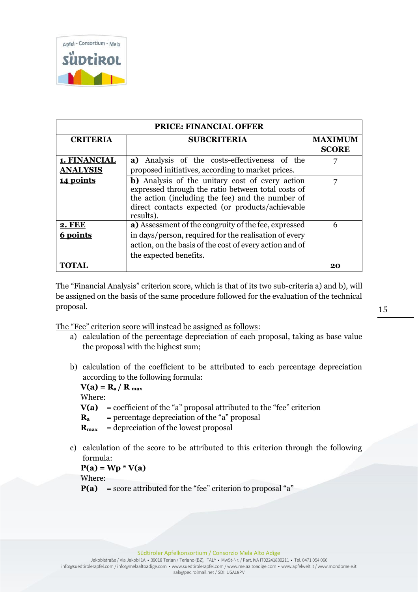

| <b>PRICE: FINANCIAL OFFER</b> |                                                                                                                                                                                                                            |              |  |
|-------------------------------|----------------------------------------------------------------------------------------------------------------------------------------------------------------------------------------------------------------------------|--------------|--|
| <b>CRITERIA</b>               | <b>SUBCRITERIA</b>                                                                                                                                                                                                         |              |  |
|                               |                                                                                                                                                                                                                            | <b>SCORE</b> |  |
| 1. FINANCIAL                  | a) Analysis of the costs-effectiveness of the                                                                                                                                                                              | 7            |  |
| <b>ANALYSIS</b>               | proposed initiatives, according to market prices.                                                                                                                                                                          |              |  |
| 14 points                     | b) Analysis of the unitary cost of every action<br>expressed through the ratio between total costs of<br>the action (including the fee) and the number of<br>direct contacts expected (or products/achievable<br>results). | 7            |  |
| <b>2. FEE</b><br>6 points     | a) Assessment of the congruity of the fee, expressed<br>in days/person, required for the realisation of every<br>action, on the basis of the cost of every action and of<br>the expected benefits.                         | 6            |  |
| <b>TOTAL</b>                  |                                                                                                                                                                                                                            | 20           |  |

The "Financial Analysis" criterion score, which is that of its two sub-criteria a) and b), will be assigned on the basis of the same procedure followed for the evaluation of the technical proposal.

The "Fee" criterion score will instead be assigned as follows:

- a) calculation of the percentage depreciation of each proposal, taking as base value the proposal with the highest sum;
- b) calculation of the coefficient to be attributed to each percentage depreciation according to the following formula:

 $V(a) = R_a / R_{max}$ 

Where:

- $V(a) =$  coefficient of the "a" proposal attributed to the "fee" criterion
- $\bf{R}_a$  = percentage depreciation of the "a" proposal
- **Rmax** = depreciation of the lowest proposal
- c) calculation of the score to be attributed to this criterion through the following formula:

 $P(a) = Wp * V(a)$ 

Where:

 $P(a)$  = score attributed for the "fee" criterion to proposal "a"

Südtiroler Apfelkonsortium / Consorzio Mela Alto Adige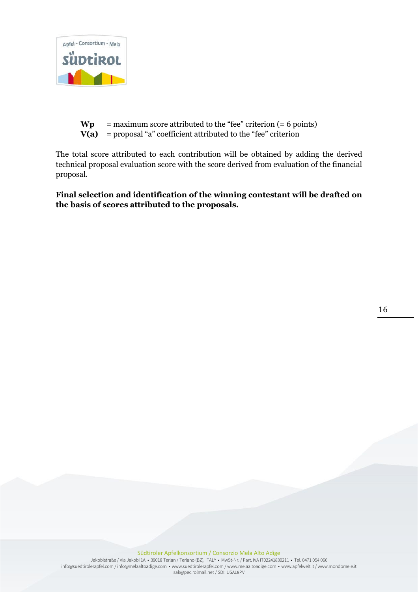

 $Wp$  = maximum score attributed to the "fee" criterion  $(= 6 \text{ points})$  $V(a)$  = proposal "a" coefficient attributed to the "fee" criterion

The total score attributed to each contribution will be obtained by adding the derived technical proposal evaluation score with the score derived from evaluation of the financial proposal.

**Final selection and identification of the winning contestant will be drafted on the basis of scores attributed to the proposals.**

16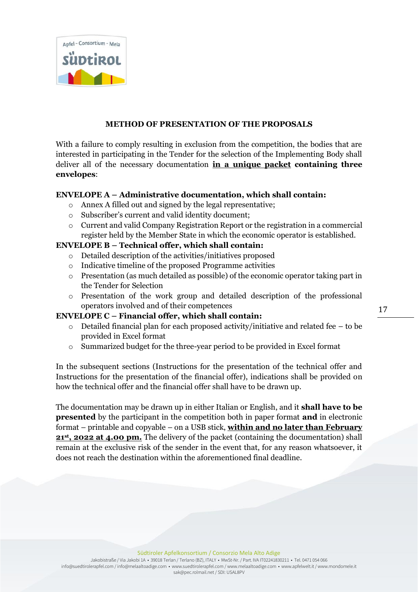

### **METHOD OF PRESENTATION OF THE PROPOSALS**

With a failure to comply resulting in exclusion from the competition, the bodies that are interested in participating in the Tender for the selection of the Implementing Body shall deliver all of the necessary documentation **in a unique packet containing three envelopes**:

### **ENVELOPE A – Administrative documentation, which shall contain:**

- o Annex A filled out and signed by the legal representative;
- o Subscriber's current and valid identity document;
- o Current and valid Company Registration Report or the registration in a commercial register held by the Member State in which the economic operator is established.

### **ENVELOPE B – Technical offer, which shall contain:**

- o Detailed description of the activities/initiatives proposed
- o Indicative timeline of the proposed Programme activities
- o Presentation (as much detailed as possible) of the economic operator taking part in the Tender for Selection
- o Presentation of the work group and detailed description of the professional operators involved and of their competences

### **ENVELOPE C – Financial offer, which shall contain:**

- o Detailed financial plan for each proposed activity/initiative and related fee to be provided in Excel format
- o Summarized budget for the three-year period to be provided in Excel format

In the subsequent sections (Instructions for the presentation of the technical offer and Instructions for the presentation of the financial offer), indications shall be provided on how the technical offer and the financial offer shall have to be drawn up.

The documentation may be drawn up in either Italian or English, and it **shall have to be presented** by the participant in the competition both in paper format **and** in electronic format – printable and copyable – on a USB stick, **within and no later than February 21st, 2022 at 4.00 pm.** The delivery of the packet (containing the documentation) shall remain at the exclusive risk of the sender in the event that, for any reason whatsoever, it does not reach the destination within the aforementioned final deadline.

Jakobistraße / Via Jakobi 1A • 39018 Terlan / Terlano (BZ), ITALY • MwSt-Nr. / Part. IVA IT02241830211 • Tel. 0471 054 066 info@suedtirolerapfel.com / info@melaaltoadige.com • www.suedtirolerapfel.com / www.melaaltoadige.com • www.apfelwelt.it / www.mondomele.it sak@pec.rolmail.net / SDI: USAL8PV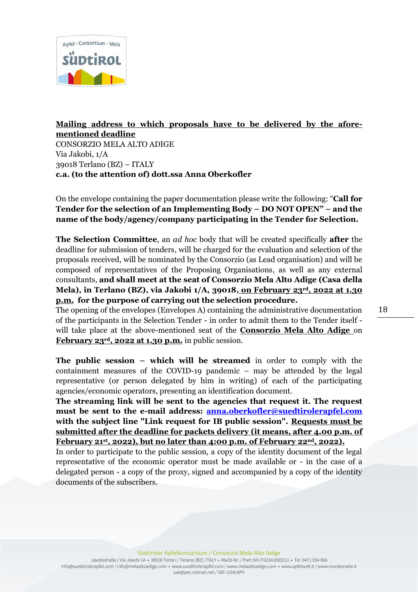

# **Mailing address to which proposals have to be delivered by the aforementioned deadline**  CONSORZIO MELA ALTO ADIGE Via Jakobi, 1/A 39018 Terlano (BZ) – ITALY **c.a. (to the attention of) dott.ssa Anna Oberkofler**

On the envelope containing the paper documentation please write the following: "**Call for Tender for the selection of an Implementing Body – DO NOT OPEN" – and the name of the body/agency/company participating in the Tender for Selection.**

**The Selection Committee**, an *ad hoc* body that will be created specifically **after** the deadline for submission of tenders, will be charged for the evaluation and selection of the proposals received, will be nominated by the Consorzio (as Lead organisation) and will be composed of representatives of the Proposing Organisations, as well as any external consultants, **and shall meet at the seat of Consorzio Mela Alto Adige (Casa della Mela), in Terlano (BZ), via Jakobi 1/A, 39018, on February 23rd, 2022 at 1.30 p.m. for the purpose of carrying out the selection procedure.**

The opening of the envelopes (Envelopes A) containing the administrative documentation of the participants in the Selection Tender - in order to admit them to the Tender itself will take place at the above-mentioned seat of the **Consorzio Mela Alto Adige** on **February 23rd, 2022 at 1.30 p.m.** in public session.

**The public session – which will be streamed** in order to comply with the containment measures of the COVID-19 pandemic – may be attended by the legal representative (or person delegated by him in writing) of each of the participating agencies/economic operators, presenting an identification document.

**The streaming link will be sent to the agencies that request it. The request must be sent to the e-mail address: [anna.oberkofler@suedtirolerapfel.com](mailto:anna.oberkofler@suedtirolerapfel.com)  with the subject line "Link request for IB public session". Requests must be submitted after the deadline for packets delivery (it means, after 4.00 p.m. of February 21st, 2022), but no later than 4:00 p.m. of February 22nd, 2022).** 

In order to participate to the public session, a copy of the identity document of the legal representative of the economic operator must be made available or - in the case of a delegated person - a copy of the proxy, signed and accompanied by a copy of the identity documents of the subscribers.

Südtiroler Apfelkonsortium / Consorzio Mela Alto Adige

Jakobistraße / Via Jakobi 1A • 39018 Terlan / Terlano (BZ), ITALY • MwSt-Nr. / Part. IVA IT02241830211 • Tel. 0471 054 066 info@suedtirolerapfel.com / info@melaaltoadige.com • www.suedtirolerapfel.com / www.melaaltoadige.com • www.apfelwelt.it / www.mondomele.it sak@pec.rolmail.net / SDI: USAL8PV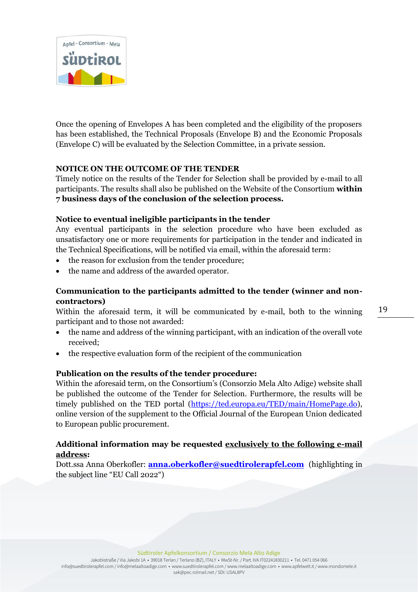

Once the opening of Envelopes A has been completed and the eligibility of the proposers has been established, the Technical Proposals (Envelope B) and the Economic Proposals (Envelope C) will be evaluated by the Selection Committee, in a private session.

## **NOTICE ON THE OUTCOME OF THE TENDER**

Timely notice on the results of the Tender for Selection shall be provided by e-mail to all participants. The results shall also be published on the Website of the Consortium **within 7 business days of the conclusion of the selection process.**

### **Notice to eventual ineligible participants in the tender**

Any eventual participants in the selection procedure who have been excluded as unsatisfactory one or more requirements for participation in the tender and indicated in the Technical Specifications, will be notified via email, within the aforesaid term:

- the reason for exclusion from the tender procedure;
- the name and address of the awarded operator.

# **Communication to the participants admitted to the tender (winner and noncontractors)**

Within the aforesaid term, it will be communicated by e-mail, both to the winning participant and to those not awarded:

- the name and address of the winning participant, with an indication of the overall vote received;
- the respective evaluation form of the recipient of the communication

# **Publication on the results of the tender procedure:**

Within the aforesaid term, on the Consortium's (Consorzio Mela Alto Adige) website shall be published the outcome of the Tender for Selection. Furthermore, the results will be timely published on the TED portal [\(https://ted.europa.eu/TED/main/HomePage.do\)](https://ted.europa.eu/TED/main/HomePage.do), online version of the supplement to the Official Journal of the European Union dedicated to European public procurement.

# **Additional information may be requested exclusively to the following e-mail address:**

Dott.ssa Anna Oberkofler: **[anna.oberkofler@suedtirolerapfel.com](mailto:anna.oberkofler@suedtirolerapfel.com)** (highlighting in the subject line "EU Call 2022")

Südtiroler Apfelkonsortium / Consorzio Mela Alto Adige

Jakobistraße / Via Jakobi 1A • 39018 Terlan / Terlano (BZ), ITALY • MwSt-Nr. / Part. IVA IT02241830211 • Tel. 0471 054 066 info@suedtirolerapfel.com / info@melaaltoadige.com • www.suedtirolerapfel.com / www.melaaltoadige.com • www.apfelwelt.it / www.mondomele.it sak@pec.rolmail.net / SDI: USAL8PV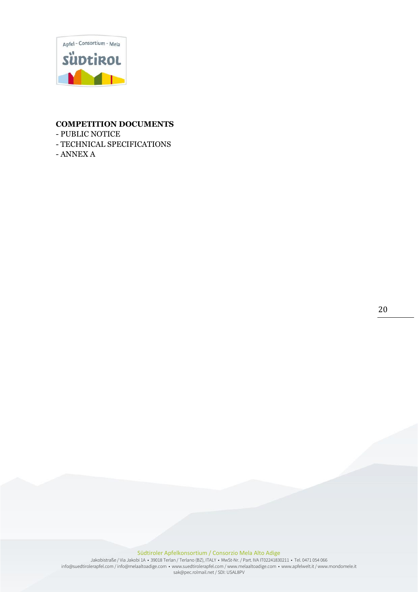

### **COMPETITION DOCUMENTS**

- PUBLIC NOTICE
- TECHNICAL SPECIFICATIONS
- ANNEX A

20

#### Südtiroler Apfelkonsortium / Consorzio Mela Alto Adige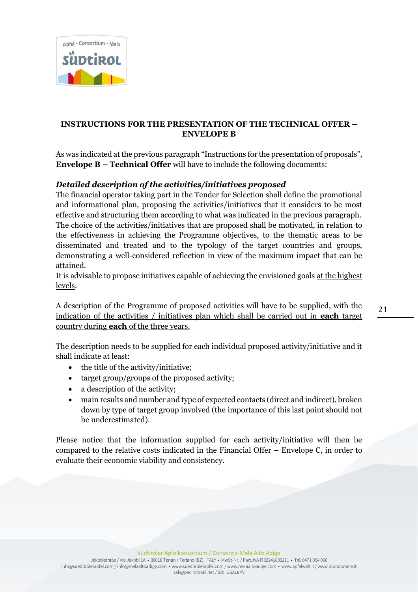

# **INSTRUCTIONS FOR THE PRESENTATION OF THE TECHNICAL OFFER – ENVELOPE B**

As was indicated at the previous paragraph "Instructions for the presentation of proposals", **Envelope B – Technical Offer** will have to include the following documents:

# *Detailed description of the activities/initiatives proposed*

The financial operator taking part in the Tender for Selection shall define the promotional and informational plan, proposing the activities/initiatives that it considers to be most effective and structuring them according to what was indicated in the previous paragraph. The choice of the activities/initiatives that are proposed shall be motivated, in relation to the effectiveness in achieving the Programme objectives, to the thematic areas to be disseminated and treated and to the typology of the target countries and groups, demonstrating a well-considered reflection in view of the maximum impact that can be attained.

It is advisable to propose initiatives capable of achieving the envisioned goals at the highest levels.

A description of the Programme of proposed activities will have to be supplied, with the indication of the activities / initiatives plan which shall be carried out in **each** target country during **each** of the three years.

The description needs to be supplied for each individual proposed activity/initiative and it shall indicate at least:

- the title of the activity/initiative;
- target group/groups of the proposed activity;
- a description of the activity;
- main results and number and type of expected contacts (direct and indirect), broken down by type of target group involved (the importance of this last point should not be underestimated).

Please notice that the information supplied for each activity/initiative will then be compared to the relative costs indicated in the Financial Offer – Envelope C, in order to evaluate their economic viability and consistency.

Südtiroler Apfelkonsortium / Consorzio Mela Alto Adige

Jakobistraße / Via Jakobi 1A • 39018 Terlan / Terlano (BZ), ITALY • MwSt-Nr. / Part. IVA IT02241830211 • Tel. 0471 054 066 info@suedtirolerapfel.com / info@melaaltoadige.com • www.suedtirolerapfel.com / www.melaaltoadige.com • www.apfelwelt.it / www.mondomele.it sak@pec.rolmail.net / SDI: USAL8PV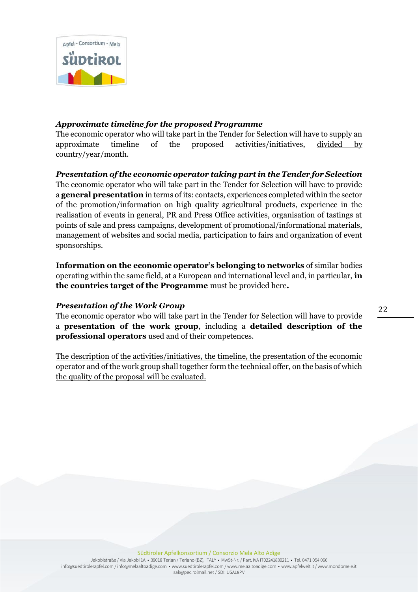

### *Approximate timeline for the proposed Programme*

The economic operator who will take part in the Tender for Selection will have to supply an approximate timeline of the proposed activities/initiatives, divided by country/year/month.

### *Presentation of the economic operator taking part in the Tender for Selection*

The economic operator who will take part in the Tender for Selection will have to provide a **general presentation** in terms of its: contacts, experiences completed within the sector of the promotion/information on high quality agricultural products, experience in the realisation of events in general, PR and Press Office activities, organisation of tastings at points of sale and press campaigns, development of promotional/informational materials, management of websites and social media, participation to fairs and organization of event sponsorships.

**Information on the economic operator's belonging to networks** of similar bodies operating within the same field, at a European and international level and, in particular, **in the countries target of the Programme** must be provided here**.**

### *Presentation of the Work Group*

The economic operator who will take part in the Tender for Selection will have to provide a **presentation of the work group**, including a **detailed description of the professional operators** used and of their competences.

The description of the activities/initiatives, the timeline, the presentation of the economic operator and of the work group shall together form the technical offer, on the basis of which the quality of the proposal will be evaluated.

22

Südtiroler Apfelkonsortium / Consorzio Mela Alto Adige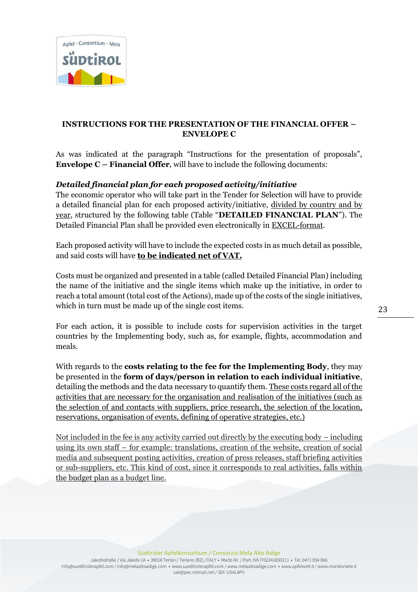

## **INSTRUCTIONS FOR THE PRESENTATION OF THE FINANCIAL OFFER – ENVELOPE C**

As was indicated at the paragraph "Instructions for the presentation of proposals", **Envelope C – Financial Offer**, will have to include the following documents:

## *Detailed financial plan for each proposed activity/initiative*

The economic operator who will take part in the Tender for Selection will have to provide a detailed financial plan for each proposed activity/initiative, divided by country and by year, structured by the following table (Table "**DETAILED FINANCIAL PLAN**"). The Detailed Financial Plan shall be provided even electronically in EXCEL-format.

Each proposed activity will have to include the expected costs in as much detail as possible, and said costs will have **to be indicated net of VAT.**

Costs must be organized and presented in a table (called Detailed Financial Plan) including the name of the initiative and the single items which make up the initiative, in order to reach a total amount (total cost of the Actions), made up of the costs of the single initiatives, which in turn must be made up of the single cost items.

For each action, it is possible to include costs for supervision activities in the target countries by the Implementing body, such as, for example, flights, accommodation and meals.

With regards to the **costs relating to the fee for the Implementing Body**, they may be presented in the **form of days/person in relation to each individual initiative**, detailing the methods and the data necessary to quantify them. These costs regard all of the activities that are necessary for the organisation and realisation of the initiatives (such as the selection of and contacts with suppliers, price research, the selection of the location, reservations, organisation of events, defining of operative strategies, etc.)

Not included in the fee is any activity carried out directly by the executing body – including using its own staff – for example: translations, creation of the website, creation of social media and subsequent posting activities, creation of press releases, staff briefing activities or sub-suppliers, etc. This kind of cost, since it corresponds to real activities, falls within the budget plan as a budget line.

Südtiroler Apfelkonsortium / Consorzio Mela Alto Adige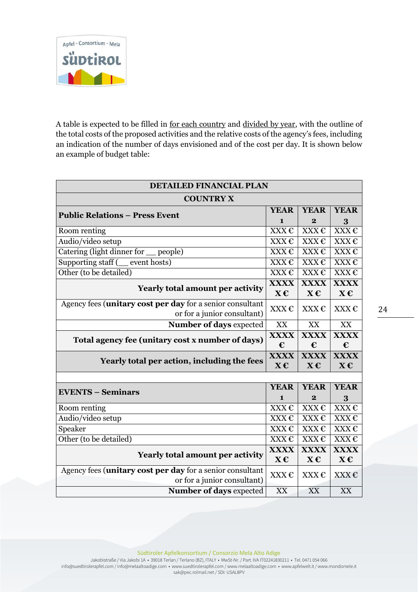

A table is expected to be filled in for each country and divided by year, with the outline of the total costs of the proposed activities and the relative costs of the agency's fees, including an indication of the number of days envisioned and of the cost per day. It is shown below an example of budget table:

| <b>DETAILED FINANCIAL PLAN</b>                            |                   |                   |                          |
|-----------------------------------------------------------|-------------------|-------------------|--------------------------|
| <b>COUNTRY X</b>                                          |                   |                   |                          |
| <b>Public Relations – Press Event</b>                     |                   | <b>YEAR</b>       | <b>YEAR</b>              |
|                                                           | $\mathbf{1}$      | $\overline{2}$    | 3                        |
| Room renting                                              | XXX€              | XXX€              | XXX€                     |
| Audio/video setup                                         | XXX€              | XXX€              | XXX€                     |
| Catering (light dinner for<br>$\equiv$ people)            | XXX€              | XXX€              | XXX€                     |
| Supporting staff ( __ event hosts)                        | XXX€              | XXX€              | XXX€                     |
| Other (to be detailed)                                    | $XXX \in$         | $XXX \mathcal{L}$ | $XXX \mathcal{L}$        |
| <b>Yearly total amount per activity</b>                   | <b>XXXX</b>       | <b>XXXX</b>       | <b>XXXX</b>              |
|                                                           | $X \in$           | $X \in$           | $X \in$                  |
| Agency fees (unitary cost per day for a senior consultant | XXX $\epsilon$    | XXX€              | XXX€                     |
| or for a junior consultant)                               |                   |                   |                          |
| Number of days expected                                   | XX                | XX                | XX                       |
| Total agency fee (unitary cost x number of days)          | <b>XXXX</b>       | <b>XXXX</b>       | <b>XXXX</b>              |
|                                                           | €                 | €                 | €                        |
| Yearly total per action, including the fees               | <b>XXXX</b>       | <b>XXXX</b>       | <b>XXXX</b>              |
|                                                           | $X \in$           | $X \in$           | $X \in$                  |
|                                                           | <b>YEAR</b>       |                   |                          |
| <b>EVENTS - Seminars</b>                                  |                   | <b>YEAR</b>       | <b>YEAR</b>              |
|                                                           | 1                 | $\bf{2}$          | 3                        |
| Room renting                                              | XXX€              | XXX€              | XXX€                     |
| Audio/video setup                                         | $XXX \in$         | $XXX \in$         | XXX€                     |
| Speaker                                                   | XXX€              | $XXX \in$         | XXX€                     |
| Other (to be detailed)                                    | $XXX \mathcal{L}$ | XXX€              | XXX€                     |
| <b>Yearly total amount per activity</b>                   |                   | <b>XXXX</b>       | <b>XXXX</b>              |
|                                                           |                   | $X \in$           | $\mathbf{X}\mathbf{\in}$ |
| Agency fees (unitary cost per day for a senior consultant |                   | XXX €             | XXX€                     |
| or for a junior consultant)                               |                   |                   |                          |
| Number of days expected                                   | XX                | XX                | <b>XX</b>                |

Südtiroler Apfelkonsortium / Consorzio Mela Alto Adige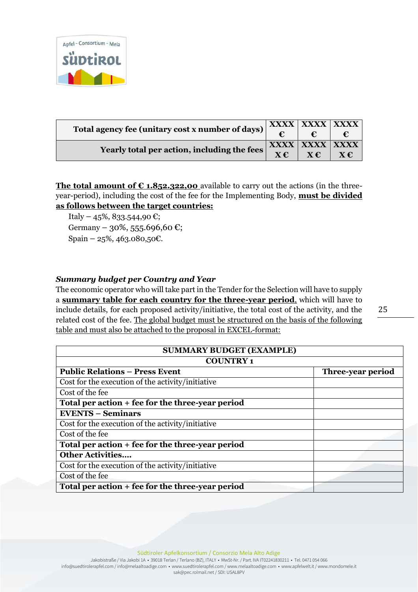

| Total agency fee (unitary cost x number of days) |  | XXXX   XXXX   XXXX |         |
|--------------------------------------------------|--|--------------------|---------|
|                                                  |  |                    |         |
| Yearly total per action, including the fees      |  | XXXX   XXXX   XXXX |         |
|                                                  |  | $X \in \mathbb{C}$ | $X \in$ |

**The total amount of**  $\epsilon$  **1.852.322,00** available to carry out the actions (in the threeyear-period), including the cost of the fee for the Implementing Body, **must be divided as follows between the target countries:**

Italy – 45%, 833.544,90 €; Germany – 30%, 555.696,60 €; Spain – 25%, 463.080,50€.

## *Summary budget per Country and Year*

The economic operator who will take part in the Tender for the Selection will have to supply a **summary table for each country for the three-year period**, which will have to include details, for each proposed activity/initiative, the total cost of the activity, and the related cost of the fee. The global budget must be structured on the basis of the following table and must also be attached to the proposal in EXCEL-format:

| --      |
|---------|
|         |
| ۰.<br>v |
|         |

| <b>SUMMARY BUDGET (EXAMPLE)</b>                   |                   |  |
|---------------------------------------------------|-------------------|--|
| <b>COUNTRY1</b>                                   |                   |  |
| <b>Public Relations – Press Event</b>             | Three-year period |  |
| Cost for the execution of the activity/initiative |                   |  |
| Cost of the fee                                   |                   |  |
| Total per action + fee for the three-year period  |                   |  |
| <b>EVENTS - Seminars</b>                          |                   |  |
| Cost for the execution of the activity/initiative |                   |  |
| Cost of the fee                                   |                   |  |
| Total per action + fee for the three-year period  |                   |  |
| <b>Other Activities</b>                           |                   |  |
| Cost for the execution of the activity/initiative |                   |  |
| Cost of the fee                                   |                   |  |
| Total per action + fee for the three-year period  |                   |  |

Südtiroler Apfelkonsortium / Consorzio Mela Alto Adige